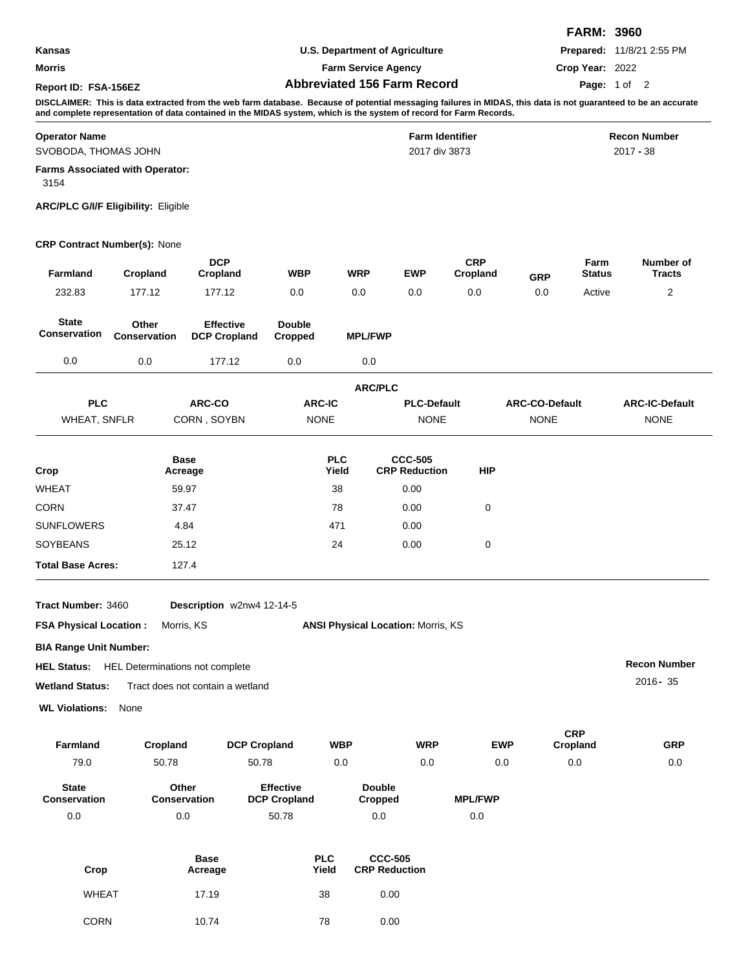|                      |                                    | <b>FARM: 3960</b>                |  |
|----------------------|------------------------------------|----------------------------------|--|
| Kansas               | U.S. Department of Agriculture     | <b>Prepared: 11/8/21 2:55 PM</b> |  |
| Morris               | <b>Farm Service Agency</b>         | Crop Year: 2022                  |  |
| Report ID: FSA-156EZ | <b>Abbreviated 156 Farm Record</b> | <b>Page:</b> 1 of 2              |  |

**DISCLAIMER: This is data extracted from the web farm database. Because of potential messaging failures in MIDAS, this data is not guaranteed to be an accurate and complete representation of data contained in the MIDAS system, which is the system of record for Farm Records.**

| <b>Operator Name</b>                           | <b>Farm Identifier</b> | <b>Recon Number</b> |
|------------------------------------------------|------------------------|---------------------|
| SVOBODA, THOMAS JOHN                           | 2017 div 3873          | 2017 - 38           |
| <b>Farms Associated with Operator:</b><br>3154 |                        |                     |

## **ARC/PLC G/I/F Eligibility:** Eligible

## **CRP Contract Number(s):** None

| Farmland                     | Cropland              | <b>DCP</b><br>Cropland                  | <b>WBP</b>               | <b>WRP</b>          | <b>EWP</b>                             | <b>CRP</b><br>Cropland | <b>GRP</b>            | Farm<br><b>Status</b> | Number of<br><b>Tracts</b> |
|------------------------------|-----------------------|-----------------------------------------|--------------------------|---------------------|----------------------------------------|------------------------|-----------------------|-----------------------|----------------------------|
| 232.83                       | 177.12                | 177.12                                  | 0.0                      | 0.0                 | 0.0                                    | 0.0                    | 0.0                   | Active                | $\overline{2}$             |
| <b>State</b><br>Conservation | Other<br>Conservation | <b>Effective</b><br><b>DCP Cropland</b> | <b>Double</b><br>Cropped | <b>MPL/FWP</b>      |                                        |                        |                       |                       |                            |
| 0.0                          | 0.0                   | 177.12                                  | 0.0                      | 0.0                 |                                        |                        |                       |                       |                            |
|                              |                       |                                         |                          | <b>ARC/PLC</b>      |                                        |                        |                       |                       |                            |
| <b>PLC</b>                   |                       | ARC-CO                                  | <b>ARC-IC</b>            |                     | <b>PLC-Default</b>                     |                        | <b>ARC-CO-Default</b> |                       | <b>ARC-IC-Default</b>      |
| <b>WHEAT, SNFLR</b>          |                       | CORN, SOYBN                             | <b>NONE</b>              |                     | <b>NONE</b>                            |                        | <b>NONE</b>           |                       | <b>NONE</b>                |
| Crop                         |                       | <b>Base</b><br>Acreage                  |                          | <b>PLC</b><br>Yield | <b>CCC-505</b><br><b>CRP Reduction</b> | <b>HIP</b>             |                       |                       |                            |
| <b>WHEAT</b>                 |                       | 59.97                                   |                          | 38                  | 0.00                                   |                        |                       |                       |                            |
| <b>CORN</b>                  |                       | 37.47                                   |                          | 78                  | 0.00                                   | 0                      |                       |                       |                            |
| <b>SUNFLOWERS</b>            |                       | 4.84                                    |                          | 471                 | 0.00                                   |                        |                       |                       |                            |
| <b>SOYBEANS</b>              |                       | 25.12                                   |                          | 24                  | 0.00                                   | 0                      |                       |                       |                            |

**Tract Number:** Description w2nw4 12-14-5

**Total Base Acres:** 127.4

**FSA Physical Location : Morris, KS Mortis, ANSI Physical Location: Morris, KS** 

**BIA Range Unit Number:**

HEL Determinations not complete **HEL Status:**

**Wetland Status:** Tract does not contain a wetland

**WL Violations:** None

| <b>Farmland</b>                     | Cropland                     | <b>DCP Cropland</b>                     | <b>WBP</b>               | <b>WRP</b> | <b>EWP</b>     | <b>CRP</b><br>Cropland | <b>GRP</b> |
|-------------------------------------|------------------------------|-----------------------------------------|--------------------------|------------|----------------|------------------------|------------|
| 79.0                                | 50.78                        | 50.78                                   | 0.0                      | 0.0        | 0.0            | 0.0                    | 0.0        |
| <b>State</b><br><b>Conservation</b> | Other<br><b>Conservation</b> | <b>Effective</b><br><b>DCP Cropland</b> | <b>Double</b><br>Cropped |            | <b>MPL/FWP</b> |                        |            |
| 0.0                                 | 0.0                          | 50.78                                   | 0.0                      |            | 0.0            |                        |            |

**Recon Number** 2016**-** 35

| Crop         | <b>Base</b><br>Acreage | <b>PLC</b><br>Yield | <b>CCC-505</b><br><b>CRP Reduction</b> |
|--------------|------------------------|---------------------|----------------------------------------|
| <b>WHEAT</b> | 17.19                  | 38                  | 0.00                                   |
| CORN         | 10.74                  | 78                  | 0.00                                   |